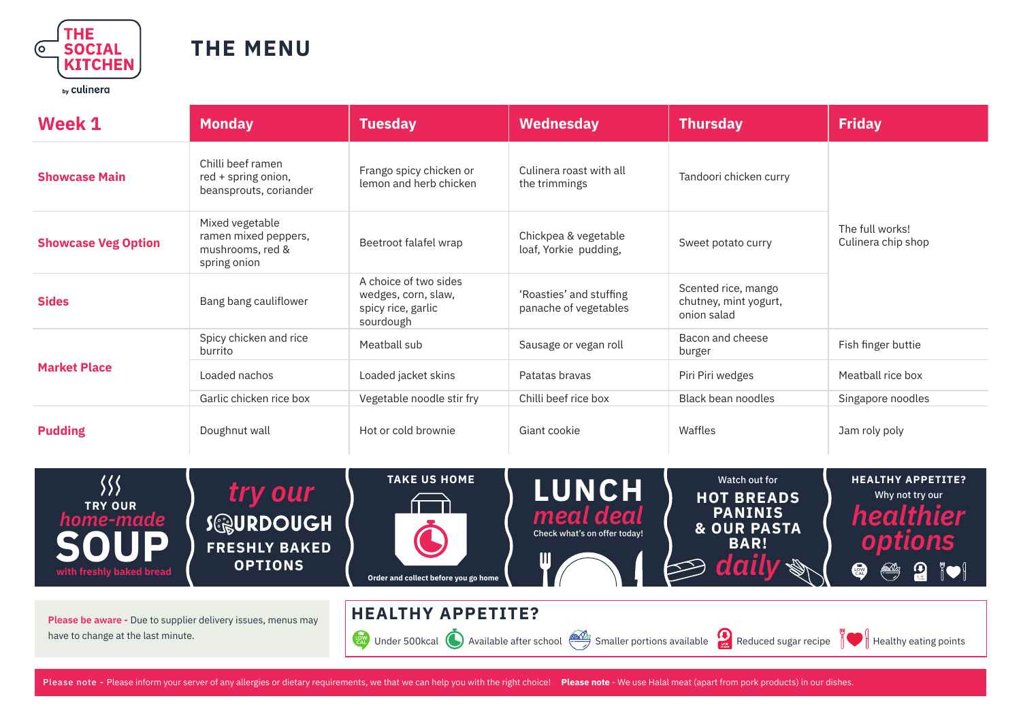

## **THE MENU**

by culinera

| Week 1                                                              | <b>Monday</b>                                                               | <b>Tuesday</b>                                                                  | Wednesday                                                      | <b>Thursday</b>                                                                                                 | <b>Friday</b>                                                                                                       |  |
|---------------------------------------------------------------------|-----------------------------------------------------------------------------|---------------------------------------------------------------------------------|----------------------------------------------------------------|-----------------------------------------------------------------------------------------------------------------|---------------------------------------------------------------------------------------------------------------------|--|
| <b>Showcase Main</b>                                                | Chilli beef ramen<br>red + spring onion,<br>beansprouts, coriander          | Frango spicy chicken or<br>lemon and herb chicken                               | Culinera roast with all<br>the trimmings                       | Tandoori chicken curry                                                                                          |                                                                                                                     |  |
| <b>Showcase Veg Option</b>                                          | Mixed vegetable<br>ramen mixed peppers,<br>mushrooms, red &<br>spring onion | Beetroot falafel wrap                                                           | Chickpea & vegetable<br>loaf, Yorkie pudding,                  | Sweet potato curry                                                                                              | The full works!<br>Culinera chip shop                                                                               |  |
| <b>Sides</b>                                                        | Bang bang cauliflower                                                       | A choice of two sides<br>wedges, corn, slaw,<br>spicy rice, garlic<br>sourdough | 'Roasties' and stuffing<br>panache of vegetables               | Scented rice, mango<br>chutney, mint yogurt,<br>onion salad                                                     |                                                                                                                     |  |
| <b>Market Place</b>                                                 | Spicy chicken and rice<br>burrito                                           | Meatball sub                                                                    | Sausage or vegan roll                                          | Bacon and cheese<br>burger                                                                                      | Fish finger buttie                                                                                                  |  |
|                                                                     | Loaded nachos                                                               | Loaded jacket skins                                                             | Patatas bravas                                                 | Piri Piri wedges                                                                                                | Meatball rice box                                                                                                   |  |
|                                                                     | Garlic chicken rice box                                                     | Vegetable noodle stir fry                                                       | Chilli beef rice box                                           | Black bean noodles                                                                                              | Singapore noodles                                                                                                   |  |
| <b>Pudding</b>                                                      | Doughnut wall                                                               | Hot or cold brownie                                                             | Giant cookie                                                   | Waffles                                                                                                         | Jam roly poly                                                                                                       |  |
| 狝<br><b>TRY OUR</b><br>home-made<br>OUP<br>with freshly baked bread | try our<br><b>SOURDOUGH</b><br><b>FRESHLY BAKED</b><br><b>OPTIONS</b>       | <b>TAKE US HOME</b>                                                             | <b>LUNCH</b><br>meal deal<br>Check what's on offer today!<br>Ш | Watch out for<br><b>HOT BREADS</b><br><b>PANINIS</b><br><b>&amp; OUR PASTA</b><br><b>BAR!</b><br>daily <b>s</b> | <b>HEALTHY APPETITE?</b><br>Why not try our<br>healthier<br>options<br>$\circledast$ or $\circledast$<br><b>RAD</b> |  |

**Please be aware -** Due to supplier delivery issues, menus may have to change at the last minute.







## **HEALTHY APPETITE?**

Under 500kcal **O** Available after school Smaller portions available Reduced sugar recipe Healthy eating points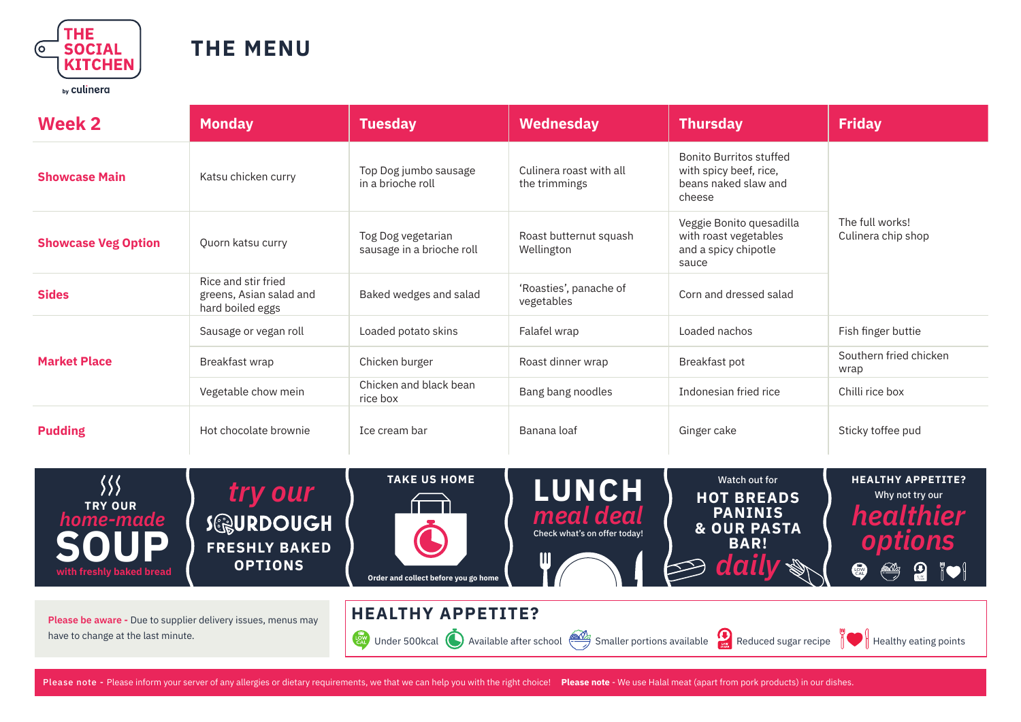

## **THE MENU**

| <b>Week 2</b>              | <b>Monday</b>                                                      | <b>Tuesday</b>                                  | Wednesday                                | <b>Thursday</b>                                                                            | <b>Friday</b>                         |  |
|----------------------------|--------------------------------------------------------------------|-------------------------------------------------|------------------------------------------|--------------------------------------------------------------------------------------------|---------------------------------------|--|
| <b>Showcase Main</b>       | Katsu chicken curry                                                | Top Dog jumbo sausage<br>in a brioche roll      | Culinera roast with all<br>the trimmings | <b>Bonito Burritos stuffed</b><br>with spicy beef, rice,<br>beans naked slaw and<br>cheese | The full works!<br>Culinera chip shop |  |
| <b>Showcase Veg Option</b> | Quorn katsu curry                                                  | Tog Dog vegetarian<br>sausage in a brioche roll | Roast butternut squash<br>Wellington     | Veggie Bonito quesadilla<br>with roast vegetables<br>and a spicy chipotle<br>sauce         |                                       |  |
| <b>Sides</b>               | Rice and stir fried<br>greens, Asian salad and<br>hard boiled eggs | Baked wedges and salad                          | 'Roasties', panache of<br>vegetables     | Corn and dressed salad                                                                     |                                       |  |
| <b>Market Place</b>        | Sausage or vegan roll                                              | Loaded potato skins                             | Falafel wrap                             | Loaded nachos                                                                              | Fish finger buttie                    |  |
|                            | Breakfast wrap                                                     | Chicken burger                                  | Roast dinner wrap                        | Breakfast pot                                                                              | Southern fried chicken<br>wrap        |  |
|                            | Vegetable chow mein                                                | Chicken and black bean<br>rice box              | Bang bang noodles                        | Indonesian fried rice                                                                      | Chilli rice box                       |  |
| <b>Pudding</b>             | Hot chocolate brownie                                              | Ice cream bar                                   | Banana loaf                              | Ginger cake                                                                                | Sticky toffee pud                     |  |



**Please be aware -** Due to supplier delivery issues, menus may have to change at the last minute.

**HEALTHY APPETITE?**

Under 500kcal **O** Available after school Smaller portions available Reduced sugar recipe Healthy eating points

Please note - Please inform your server of any allergies or dietary requirements, we that we can help you with the right choice! **Please note** - We use Halal meat (apart from pork products) in our dishes.